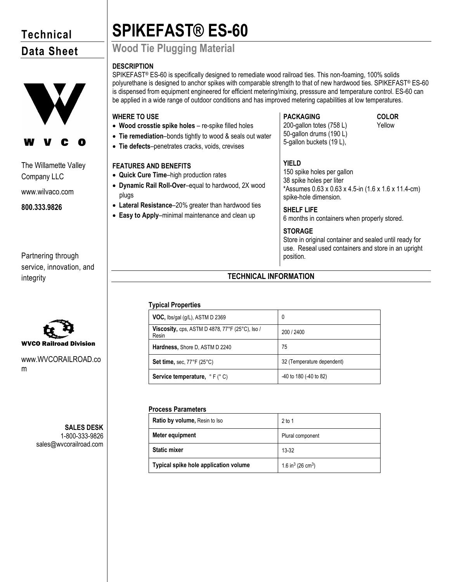# **Technical Data Sheet**



# The Willamette Valley Company LLC

www.wilvaco.com

**800.333.9826**

Partnering through service, innovation, and integrity



www.WVCORAILROAD.co m

> **SALES DESK** 1-800-333-9826 sales@wvcorailroad.com

# **SPIKEFAST® ES-60**

# **Wood Tie Plugging Material**

# **DESCRIPTION**

SPIKEFAST® ES-60 is specifically designed to remediate wood railroad ties. This non-foaming, 100% solids polyurethane is designed to anchor spikes with comparable strength to that of new hardwood ties. SPIKEFAST® ES-60 is dispensed from equipment engineered for efficient metering/mixing, presssure and temperature control. ES-60 can be applied in a wide range of outdoor conditions and has improved metering capabilities at low temperatures.

# **WHERE TO USE**

- **Wood crosstie spike holes**  re-spike filled holes
- **Tie remediation**–bonds tightly to wood & seals out water
- **Tie defects**–penetrates cracks, voids, crevises

# **FEATURES AND BENEFITS**

- **Quick Cure Time**–high production rates
- **Dynamic Rail Roll-Over**–equal to hardwood, 2X wood plugs
- **Lateral Resistance**–20% greater than hardwood ties
- **Easy to Apply**–minimal maintenance and clean up

# **PACKAGING COLOR**

200-gallon totes (758 L) 50-gallon drums (190 L) 5-gallon buckets (19 L),

Yellow

# **YIELD**

150 spike holes per gallon 38 spike holes per liter \*Assumes 0.63 x 0.63 x 4.5-in (1.6 x 1.6 x 11.4-cm) spike-hole dimension.

# **SHELF LIFE**

6 months in containers when properly stored.

# **STORAGE**

Store in original container and sealed until ready for use. Reseal used containers and store in an upright position.

# **TECHNICAL INFORMATION**

# **Typical Properties**

| <b>VOC, lbs/gal (g/L), ASTM D 2369</b>                          | 0                          |
|-----------------------------------------------------------------|----------------------------|
| <b>Viscosity, cps. ASTM D 4878, 77°F (25°C), lso /</b><br>Resin | 200 / 2400                 |
| Hardness, Shore D, ASTM D 2240                                  | 75                         |
| Set time, sec. $77^{\circ}F(25^{\circ}C)$                       | 32 (Temperature dependent) |
| <b>Service temperature,</b> $\circ$ F ( $\circ$ C)              | -40 to 180 (-40 to 82)     |

# **Process Parameters**

| <b>Ratio by volume, Resin to Iso</b>  | $2$ to 1                                  |
|---------------------------------------|-------------------------------------------|
| Meter equipment                       | Plural component                          |
| <b>Static mixer</b>                   | 13-32                                     |
| Typical spike hole application volume | 1.6 in <sup>3</sup> (26 cm <sup>3</sup> ) |